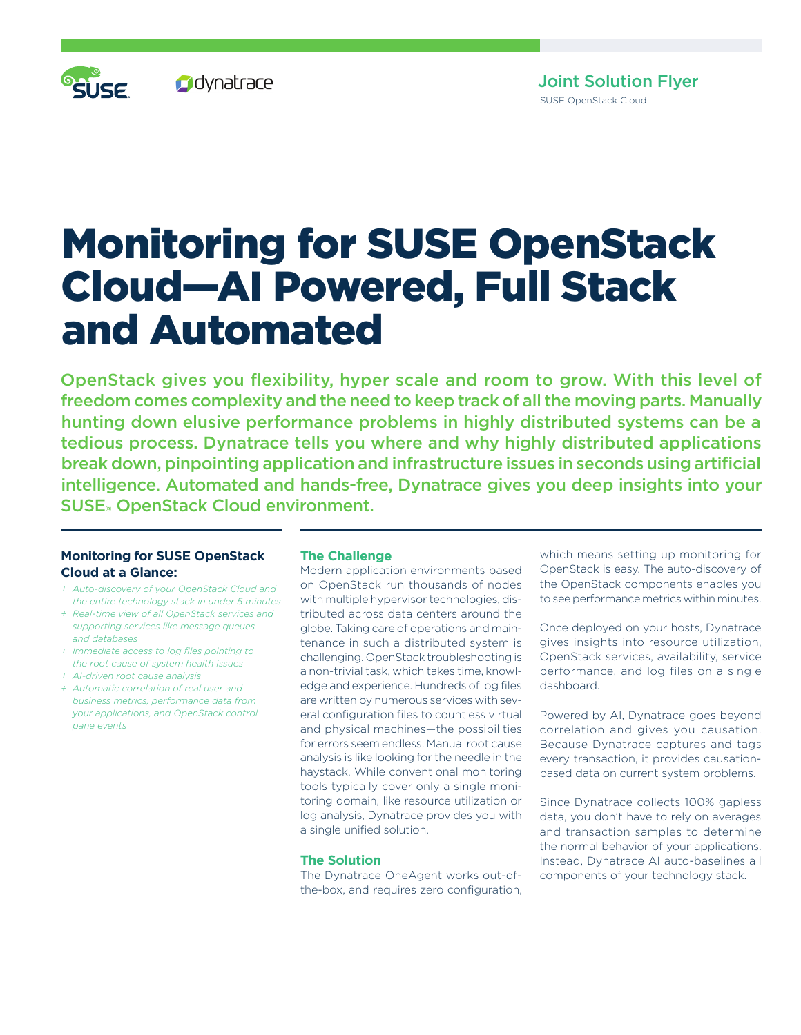# Monitoring for SUSE OpenStack Cloud—AI Powered, Full Stack and Automated

OpenStack gives you flexibility, hyper scale and room to grow. With this level of freedom comes complexity and the need to keep track of all the moving parts. Manually hunting down elusive performance problems in highly distributed systems can be a tedious process. Dynatrace tells you where and why highly distributed applications break down, pinpointing application and infrastructure issues in seconds using artificial intelligence. Automated and hands-free, Dynatrace gives you deep insights into your SUSE**®** OpenStack Cloud environment.

# **Monitoring for SUSE OpenStack Cloud at a Glance:**

- *+ Auto-discovery of your OpenStack Cloud and the entire technology stack in under 5 minutes*
- *+ Real-time view of all OpenStack services and supporting services like message queues and databases*
- *+ Immediate access to log files pointing to the root cause of system health issues*
- *+ AI-driven root cause analysis*
- *+ Automatic correlation of real user and business metrics, performance data from your applications, and OpenStack control pane events*

# **The Challenge**

Modern application environments based on OpenStack run thousands of nodes with multiple hypervisor technologies, distributed across data centers around the globe. Taking care of operations and maintenance in such a distributed system is challenging. OpenStack troubleshooting is a non-trivial task, which takes time, knowledge and experience. Hundreds of log files are written by numerous services with several configuration files to countless virtual and physical machines—the possibilities for errors seem endless. Manual root cause analysis is like looking for the needle in the haystack. While conventional monitoring tools typically cover only a single monitoring domain, like resource utilization or log analysis, Dynatrace provides you with a single unified solution.

### **The Solution**

The Dynatrace OneAgent works out-ofthe-box, and requires zero configuration, which means setting up monitoring for OpenStack is easy. The auto-discovery of the OpenStack components enables you to see performance metrics within minutes.

Once deployed on your hosts, Dynatrace gives insights into resource utilization, OpenStack services, availability, service performance, and log files on a single dashboard.

Powered by AI, Dynatrace goes beyond correlation and gives you causation. Because Dynatrace captures and tags every transaction, it provides causationbased data on current system problems.

Since Dynatrace collects 100% gapless data, you don't have to rely on averages and transaction samples to determine the normal behavior of your applications. Instead, Dynatrace AI auto-baselines all components of your technology stack.